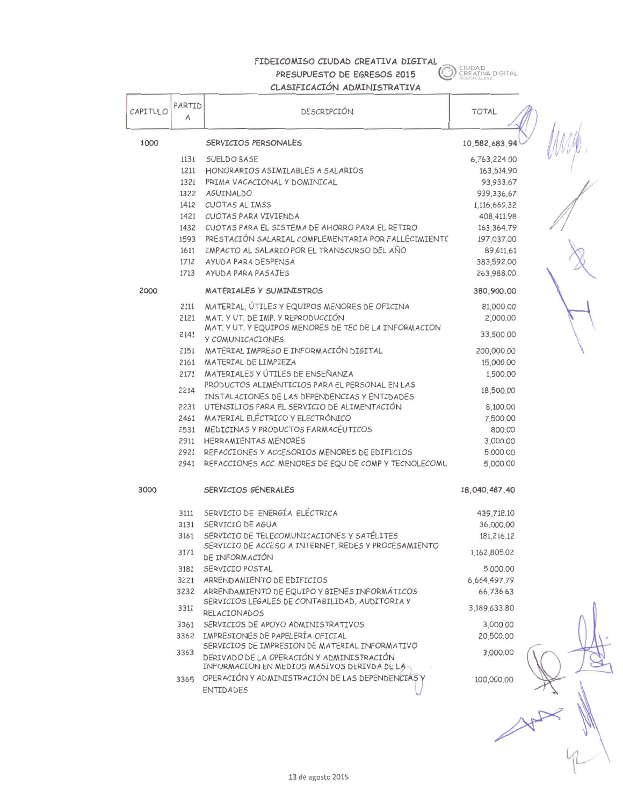## FIDEICOMISO CIUDAD CREATIVA DIGITAL PRESUPUESTO DE EGRESOS 2015 CLASIFICACIÓN ADMINISTRATIVA

**CON SECATIVA DIGITAL** 

|          |                          | CLASTI TOACTOIA MUMTIATS I RATTAN                                                               |               |  |
|----------|--------------------------|-------------------------------------------------------------------------------------------------|---------------|--|
| CAPITULO | PARTID<br>$\overline{A}$ | DESCRIPCIÓN                                                                                     | <b>TOTAL</b>  |  |
| 1000     |                          | SERVICIOS PERSONALES                                                                            | 10,582,683.94 |  |
|          | 1131                     | SUELDO BASE                                                                                     | 6,763,224.00  |  |
|          | 1211                     | HONORARIOS ASIMILABLES A SALARIOS                                                               | 163,514.90    |  |
| 1321     |                          | PRIMA VACACIONAL Y DOMINICAL                                                                    | 93,933.67     |  |
|          | 1322                     | AGUINALDO                                                                                       | 939,336.67    |  |
|          |                          | 1412 CUOTAS AL IMSS                                                                             | 1,116,669.32  |  |
|          |                          | 1421 CUOTAS PARA VIVIENDA                                                                       | 408,411.98    |  |
|          |                          | 1432 CUOTAS PARA EL SISTEMA DE AHORRO PARA EL RETIRO                                            | 163,364.79    |  |
|          |                          | 1593 PRESTACIÓN SALARIAL COMPLEMENTARIA POR FALLECIMIENTO                                       | 197,037.00    |  |
|          | 1611                     | IMPACTO AL SALARIO POR EL TRANSCURSO DEL AÑO                                                    | 89,611.61     |  |
|          | 1712                     | AYUDA PARA DESPENSA                                                                             | 383,592.00    |  |
|          | 1713                     | AYUDA PARA PASAJES                                                                              | 263,988.00    |  |
| 2000     |                          | MATERIALES Y SUMINISTROS                                                                        | 380,900.00    |  |
|          | 2111                     | MATERIAL, ÚTILES Y EQUIPOS MENORES DE OFICINA                                                   | 81,000.00     |  |
|          | 2121                     | MAT. Y UT. DE IMP. Y REPRODUCCIÓN<br>MAT. Y UT. Y EQUIPOS MENORES DE TEC DE LA INFORMACION      | 2,000.00      |  |
|          | 2141                     | Y COMUNICACIONES.                                                                               | 33,500.00     |  |
|          | 2151                     | MATERIAL IMPRESO E INFORMACIÓN DIGITAL                                                          | 200,000.00    |  |
|          |                          | 2161 MATERIAL DE LIMPIEZA                                                                       | 15,000.00     |  |
|          |                          | 2171 MATERIALES Y ÚTILES DE ENSEÑANZA                                                           | 1,500.00      |  |
|          | 2214                     | PRODUCTOS ALIMENTICIOS PARA EL PERSONAL EN LAS<br>INSTALACIONES DE LAS DEPENDENCIAS Y ENTIDADES | 18,500.00     |  |
|          | 2231                     | UTENSILIOS PARA EL SERVICIO DE ALIMENTACIÓN                                                     | 8,100.00      |  |
|          |                          | 2461 MATERIAL ELÉCTRICO Y ELECTRÓNICO                                                           | 7,500.00      |  |
|          |                          | 2531 MEDICINAS Y PRODUCTOS FARMACÉUTICOS                                                        | 800.00        |  |
|          |                          | 2911 HERRAMIENTAS MENORES                                                                       | 3,000.00      |  |
|          | 2921                     | REFACCIONES Y ACCESORIOS MENORES DE EDIFICIOS                                                   | 5,000.00      |  |
|          | 2941                     | REFACCIONES ACC. MENORES DE EQU DE COMP Y TECNOLECOMU                                           | 5,000.00      |  |
| 3000     |                          | SERVICIOS GENERALES                                                                             | 18,040,487.40 |  |
|          | 3111                     | SERVICIO DE ENERGÍA ELÉCTRICA                                                                   | 439,718.10    |  |
|          | 3131                     | SERVICIO DE AGUA                                                                                | 36,000.00     |  |
|          | 3161                     | SERVICIO DE TELECOMUNICACIONES Y SATÉLITES                                                      | 181,216.12    |  |
|          | 3171                     | SERVICIO DE ACCESO A INTERNET, REDES Y PROCESAMIENTO<br>DE INFORMACIÓN                          | 1,162,805.02  |  |
|          | 3181                     | SERVICIO POSTAL                                                                                 | 5,000.00      |  |
|          |                          | 3221 ARRENDAMIENTO DE EDIFICIOS                                                                 | 6,664,497.79  |  |
|          | 3232                     | ARRENDAMIENTO DE EQUIPO Y BIENES INFORMÁTICOS                                                   | 66,736.63     |  |
|          | 3311                     | SERVICIOS LEGALES DE CONTABILIDAD, AUDITORIA Y<br><b>RELACIONADOS</b>                           | 3,189,633.80  |  |
|          | 3361                     | SERVICIOS DE APOYO ADMINISTRATIVOS                                                              | 3,000.00      |  |
|          |                          | 3362 IMPRESIONES DE PAPELERÍA OFICIAL                                                           | 20,500.00     |  |
|          |                          | SERVICIOS DE IMPRESION DE MATERIAL INFORMATIVO                                                  |               |  |
|          | 3363                     | DERIVADO DE LA OPERACIÓN Y ADMINISTRACIÓN<br>INFORMACION EN MEDIOS MASIVOS DERIVDA DE LA        | 3,000.00      |  |
|          | 3365                     | OPERACIÓN Y ADMINISTRACIÓN DE LAS DEPENDENCIAS                                                  | 100,000.00    |  |
|          |                          | <b>ENTIDADES</b>                                                                                |               |  |
|          |                          |                                                                                                 |               |  |
|          |                          |                                                                                                 |               |  |
|          |                          |                                                                                                 |               |  |
|          |                          | 13 de agosto 2015                                                                               |               |  |
|          |                          |                                                                                                 |               |  |

 $4$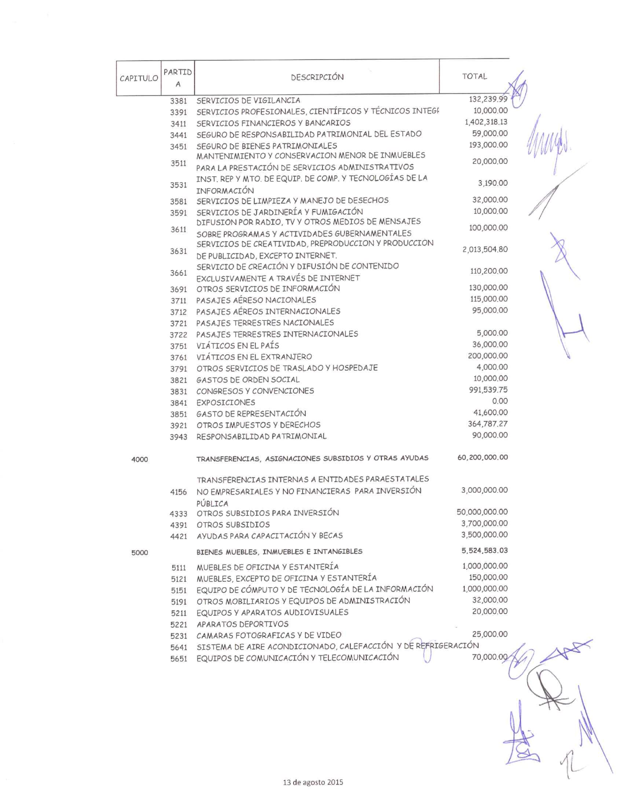| CAPITULO | PARTID<br>A | DESCRIPCIÓN                                                                      | <b>TOTAL</b>  |  |
|----------|-------------|----------------------------------------------------------------------------------|---------------|--|
|          | 3381        | SERVICIOS DE VIGILANCIA                                                          | 132,239.99    |  |
|          | 3391        | SERVICIOS PROFESIONALES, CIENTÍFICOS Y TÉCNICOS INTEGI                           | 10,000.00     |  |
|          | 3411        | SERVICIOS FINANCIEROS Y BANCARIOS                                                | 1,402,318.13  |  |
|          | 3441        | SEGURO DE RESPONSABILIDAD PATRIMONIAL DEL ESTADO                                 | 59,000.00     |  |
|          | 3451        | SEGURO DE BIENES PATRIMONIALES                                                   | 193,000.00    |  |
|          |             | MANTENIMIENTO Y CONSERVACION MENOR DE INMUEBLES                                  | 20,000.00     |  |
|          | 3511        | PARA LA PRESTACIÓN DE SERVICIOS ADMINISTRATIVOS                                  |               |  |
|          | 3531        | INST. REP Y MTO. DE EQUIP. DE COMP. Y TECNOLOGÍAS DE LA                          | 3,190.00      |  |
|          |             | INFORMACIÓN                                                                      |               |  |
|          | 3581        | SERVICIOS DE LIMPIEZA Y MANEJO DE DESECHOS                                       | 32,000.00     |  |
|          | 3591        | SERVICIOS DE JARDINERÍA Y FUMIGACIÓN                                             | 10,000.00     |  |
|          | 3611        | DIFUSION POR RADIO, TV Y OTROS MEDIOS DE MENSAJES                                | 100,000.00    |  |
|          |             | SOBRE PROGRAMAS Y ACTIVIDADES GUBERNAMENTALES                                    |               |  |
|          | 3631        | SERVICIOS DE CREATIVIDAD, PREPRODUCCION Y PRODUCCION                             | 2,013,504.80  |  |
|          |             | DE PUBLICIDAD, EXCEPTO INTERNET.<br>SERVICIO DE CREACIÓN Y DIFUSIÓN DE CONTENIDO |               |  |
|          | 3661        | EXCLUSIVAMENTE A TRAVÉS DE INTERNET                                              | 110,200.00    |  |
|          | 3691        | OTROS SERVICIOS DE INFORMACIÓN                                                   | 130,000.00    |  |
|          | 3711        | PASAJES AÉRESO NACIONALES                                                        | 115,000,00    |  |
|          | 3712        | PASAJES AÉREOS INTERNACIONALES                                                   | 95,000.00     |  |
|          | 3721        | PASAJES TERRESTRES NACIONALES                                                    |               |  |
|          | 3722        | PASAJES TERRESTRES INTERNACIONALES                                               | 5,000.00      |  |
|          | 3751        | VIÁTICOS EN EL PAÍS                                                              | 36,000.00     |  |
|          | 3761        | VIÁTICOS EN EL EXTRANJERO                                                        | 200,000.00    |  |
|          | 3791        | OTROS SERVICIOS DE TRASLADO Y HOSPEDAJE                                          | 4,000.00      |  |
|          | 3821        | GASTOS DE ORDEN SOCIAL                                                           | 10,000.00     |  |
|          | 3831        | CONGRESOS Y CONVENCIONES                                                         | 991,539.75    |  |
|          | 3841        | <b>EXPOSICIONES</b>                                                              | 0.00          |  |
|          | 3851        | GASTO DE REPRESENTACIÓN                                                          | 41,600.00     |  |
|          | 3921        | OTROS IMPUESTOS Y DERECHOS                                                       | 364,787.27    |  |
|          | 3943        | RESPONSABILIDAD PATRIMONIAL                                                      | 90,000.00     |  |
| 4000     |             | TRANSFERENCIAS, ASIGNACIONES SUBSIDIOS Y OTRAS AYUDAS                            | 60,200,000.00 |  |
|          |             |                                                                                  |               |  |
|          |             | TRANSFERENCIAS INTERNAS A ENTIDADES PARAESTATALES                                |               |  |
|          | 4156        | NO EMPRESARIALES Y NO FINANCIERAS PARA INVERSIÓN                                 | 3,000,000.00  |  |
|          |             | PÚBLICA                                                                          |               |  |
|          |             | 4333 OTROS SUBSIDIOS PARA INVERSIÓN                                              | 50,000,000.00 |  |
|          |             | 4391 OTROS SUBSIDIOS                                                             | 3,700,000.00  |  |
|          | 4421        | AYUDAS PARA CAPACITACIÓN Y BECAS                                                 | 3,500,000.00  |  |
| 5000     |             | BIENES MUEBLES, INMUEBLES E INTANGIBLES                                          | 5,524,583.03  |  |
|          | 5111        | MUEBLES DE OFICINA Y ESTANTERÍA                                                  | 1,000,000.00  |  |
|          | 5121        | MUEBLES, EXCEPTO DE OFICINA Y ESTANTERÍA                                         | 150,000.00    |  |
|          | 5151        | EQUIPO DE CÓMPUTO Y DE TECNOLOGÍA DE LA INFORMACIÓN                              | 1,000,000.00  |  |
|          | 5191        | OTROS MOBILIARIOS Y EQUIPOS DE ADMINISTRACIÓN                                    | 32,000.00     |  |
|          | 5211        | EQUIPOS Y APARATOS AUDIOVISUALES                                                 | 20,000.00     |  |
|          | 5221        | APARATOS DEPORTIVOS                                                              |               |  |
|          |             | 5231 CAMARAS FOTOGRAFICAS Y DE VIDEO                                             | 25,000.00     |  |
|          |             | 5641 SISTEMA DE AIRE ACONDICIONADO, CALEFACCIÓN Y DE REFRIGERACIÓN               |               |  |
|          |             | 5651 EQUIPOS DE COMUNICACIÓN Y TELECOMUNICACIÓN                                  | 70,000.00     |  |
|          |             |                                                                                  |               |  |
|          |             |                                                                                  |               |  |
|          |             |                                                                                  |               |  |
|          |             |                                                                                  |               |  |
|          |             |                                                                                  |               |  |
|          |             |                                                                                  |               |  |
|          |             |                                                                                  |               |  |
|          |             |                                                                                  |               |  |
|          |             |                                                                                  |               |  |
|          |             | 13 de agosto 2015                                                                |               |  |
|          |             |                                                                                  |               |  |